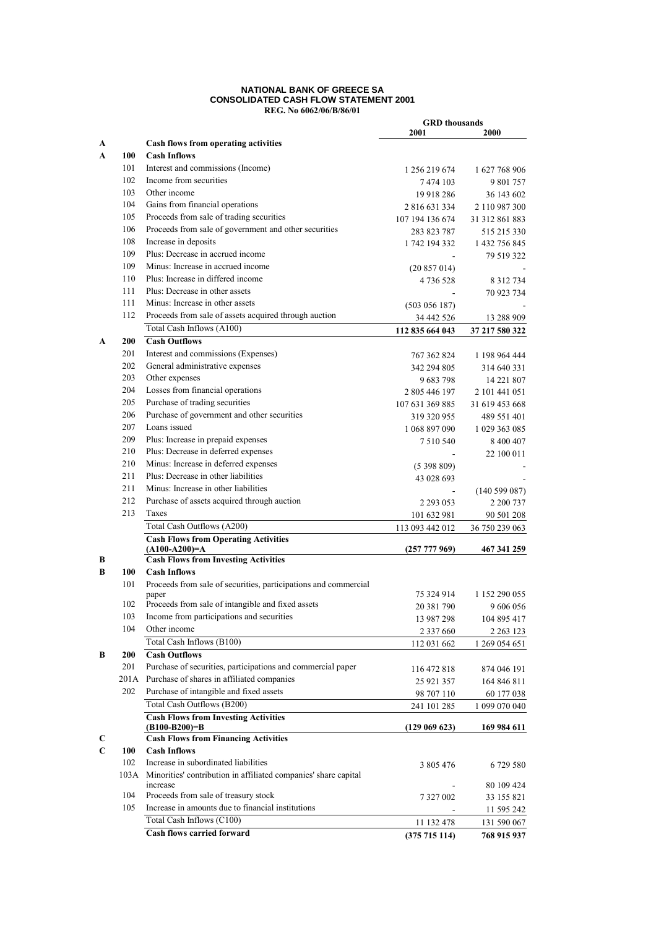#### **NATIONAL BANK OF GREECE SA CONSOLIDATED CASH FLOW STATEMENT 2001 REG. No 6062/06/B/86/01**

|        |      |                                                                 | <b>GRD</b> thousands     |                         |
|--------|------|-----------------------------------------------------------------|--------------------------|-------------------------|
|        |      | Cash flows from operating activities                            | 2001                     | 2000                    |
| A<br>A | 100  | <b>Cash Inflows</b>                                             |                          |                         |
|        | 101  | Interest and commissions (Income)                               |                          |                         |
|        | 102  | Income from securities                                          | 1 256 219 674<br>7474103 | 1 627 768 906           |
|        | 103  | Other income                                                    | 19 918 286               | 9 801 757<br>36 143 602 |
|        | 104  | Gains from financial operations                                 | 2816631334               | 2 110 987 300           |
|        | 105  | Proceeds from sale of trading securities                        | 107 194 136 674          | 31 312 861 883          |
|        | 106  | Proceeds from sale of government and other securities           | 283 823 787              | 515 215 330             |
|        | 108  | Increase in deposits                                            | 1 742 194 332            | 1 432 756 845           |
|        | 109  | Plus: Decrease in accrued income                                |                          | 79 519 322              |
|        | 109  | Minus: Increase in accrued income                               | (20857014)               |                         |
|        | 110  | Plus: Increase in differed income                               | 4 736 528                | 8 3 1 2 7 3 4           |
|        | 111  | Plus: Decrease in other assets                                  |                          | 70 923 734              |
|        | 111  | Minus: Increase in other assets                                 | (503 056 187)            |                         |
|        | 112  | Proceeds from sale of assets acquired through auction           | 34 442 526               | 13 288 909              |
|        |      | Total Cash Inflows (A100)                                       | 112 835 664 043          | 37 217 580 322          |
| A      | 200  | <b>Cash Outflows</b>                                            |                          |                         |
|        | 201  | Interest and commissions (Expenses)                             | 767 362 824              | 1 198 964 444           |
|        | 202  | General administrative expenses                                 | 342 294 805              | 314 640 331             |
|        | 203  | Other expenses                                                  | 9 683 798                | 14 221 807              |
|        | 204  | Losses from financial operations                                | 2 805 446 197            | 2 101 441 051           |
|        | 205  | Purchase of trading securities                                  | 107 631 369 885          | 31 619 453 668          |
|        | 206  | Purchase of government and other securities                     | 319 320 955              | 489 551 401             |
|        | 207  | Loans issued                                                    | 1 068 897 090            | 1 029 363 085           |
|        | 209  | Plus: Increase in prepaid expenses                              | 7 5 10 5 40              | 8 400 407               |
|        | 210  | Plus: Decrease in deferred expenses                             |                          | 22 100 011              |
|        | 210  | Minus: Increase in deferred expenses                            | (5398809)                |                         |
|        | 211  | Plus: Decrease in other liabilities                             | 43 028 693               |                         |
|        | 211  | Minus: Increase in other liabilities                            |                          | (140599087)             |
|        | 212  | Purchase of assets acquired through auction                     | 2 2 9 3 0 5 3            | 2 200 737               |
|        | 213  | Taxes                                                           | 101 632 981              | 90 501 208              |
|        |      | Total Cash Outflows (A200)                                      | 113 093 442 012          | 36 750 239 063          |
|        |      | <b>Cash Flows from Operating Activities</b>                     |                          |                         |
| в      |      | $(A100-A200)=A$<br><b>Cash Flows from Investing Activities</b>  | (257 777 969)            | 467 341 259             |
| В      | 100  | <b>Cash Inflows</b>                                             |                          |                         |
|        | 101  | Proceeds from sale of securities, participations and commercial |                          |                         |
|        |      | paper                                                           | 75 324 914               | 1 152 290 055           |
|        | 102  | Proceeds from sale of intangible and fixed assets               | 20 381 790               | 9 606 056               |
|        | 103  | Income from participations and securities                       | 13 987 298               | 104 895 417             |
|        | 104  | Other income                                                    | 2 3 3 7 6 6 0            | 2 2 6 3 1 2 3           |
|        |      | Total Cash Inflows (B100)                                       | 112 031 662              | 1 269 054 651           |
| В      | 200  | <b>Cash Outflows</b>                                            |                          |                         |
|        | 201  | Purchase of securities, participations and commercial paper     | 116 472 818              | 874 046 191             |
|        | 201A | Purchase of shares in affiliated companies                      | 25 921 357               | 164 846 811             |
|        | 202  | Purchase of intangible and fixed assets                         | 98 707 110               | 60 177 038              |
|        |      | Total Cash Outflows (B200)                                      | 241 101 285              | 1 099 070 040           |
|        |      | <b>Cash Flows from Investing Activities</b><br>$(B100-B200)=B$  | (129069623)              | 169 984 611             |
| C      |      | <b>Cash Flows from Financing Activities</b>                     |                          |                         |
| C      | 100  | <b>Cash Inflows</b>                                             |                          |                         |
|        | 102  | Increase in subordinated liabilities                            | 3 805 476                | 6 729 580               |
|        | 103A | Minorities' contribution in affiliated companies' share capital |                          |                         |
|        |      | increase                                                        |                          | 80 109 424              |
|        | 104  | Proceeds from sale of treasury stock                            | 7 327 002                | 33 155 821              |
|        | 105  | Increase in amounts due to financial institutions               |                          | 11 595 242              |
|        |      | Total Cash Inflows (C100)                                       | 11 132 478               | 131 590 067             |
|        |      | <b>Cash flows carried forward</b>                               | (375715114)              | 768 915 937             |